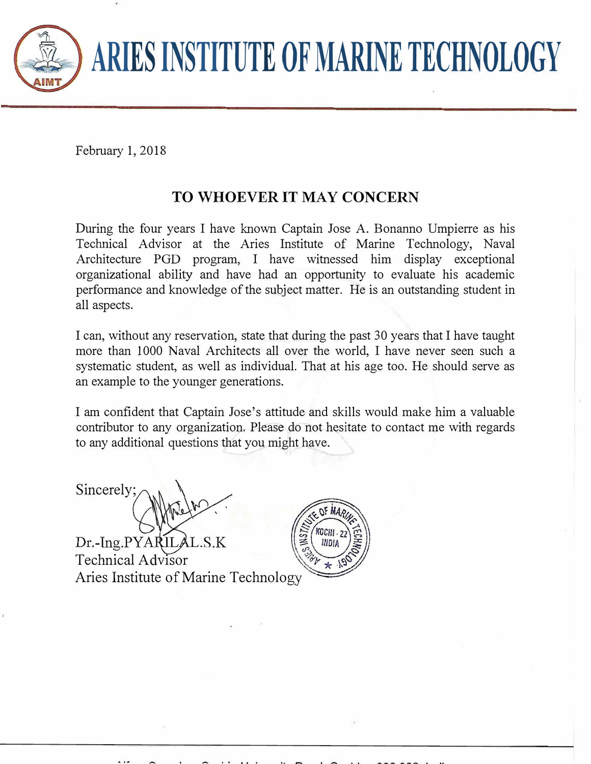

## **ARIES INSTITUTE OF MARINE TECHNOLOGY**

February 1, 2018

## **TO WHOEVER IT MAY CONCERN**

During the four years I have known Captain Jose A. Bonanno Umpierre as his Technical Advisor at the Aries Institute of Marine Technology, Naval Architecture PGD program, I have witnessed him display exceptional organizational ability and have had an opportunity to evaluate his academic performance and knowledge of the subject matter. He is an outstanding student in all aspects.

I can, without any reservation, state that during the past 30 years that I have taught more than 1000 Naval Architects all over the world. I have never seen such a systematic student, as well as individual. That at his age too. He should serve as an example to the younger generations.

I am confident that Captain Jose's attitude and skills would make him a valuable contributor to any organization. Please do not hesitate to contact me with regards to any additional questions that you might have.

Sincerely;

Dr.-Ing.PYAF Technical Advisor Aries Institute of Marine Technolog